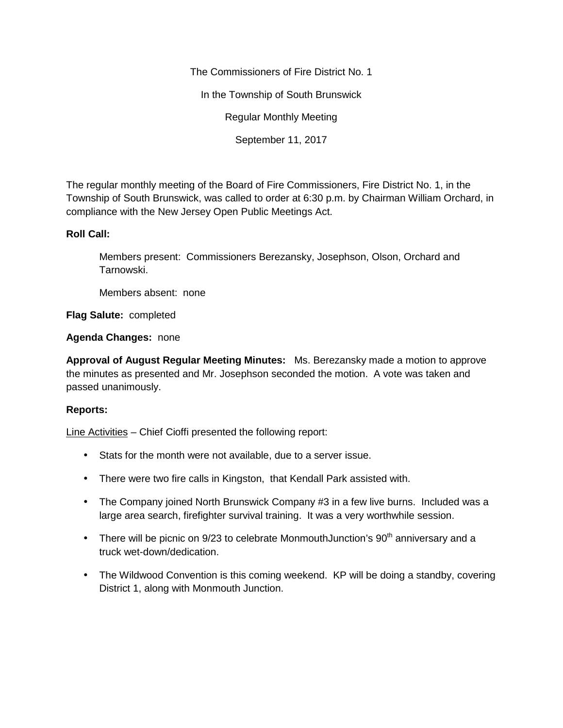The Commissioners of Fire District No. 1

In the Township of South Brunswick

Regular Monthly Meeting

September 11, 2017

The regular monthly meeting of the Board of Fire Commissioners, Fire District No. 1, in the Township of South Brunswick, was called to order at 6:30 p.m. by Chairman William Orchard, in compliance with the New Jersey Open Public Meetings Act.

## **Roll Call:**

Members present: Commissioners Berezansky, Josephson, Olson, Orchard and Tarnowski.

Members absent: none

**Flag Salute:** completed

**Agenda Changes:** none

**Approval of August Regular Meeting Minutes:** Ms. Berezansky made a motion to approve the minutes as presented and Mr. Josephson seconded the motion. A vote was taken and passed unanimously.

## **Reports:**

Line Activities – Chief Cioffi presented the following report:

- Stats for the month were not available, due to a server issue.
- There were two fire calls in Kingston, that Kendall Park assisted with.
- The Company joined North Brunswick Company #3 in a few live burns. Included was a large area search, firefighter survival training. It was a very worthwhile session.
- There will be picnic on  $9/23$  to celebrate MonmouthJunction's  $90<sup>th</sup>$  anniversary and a truck wet-down/dedication.
- The Wildwood Convention is this coming weekend. KP will be doing a standby, covering District 1, along with Monmouth Junction.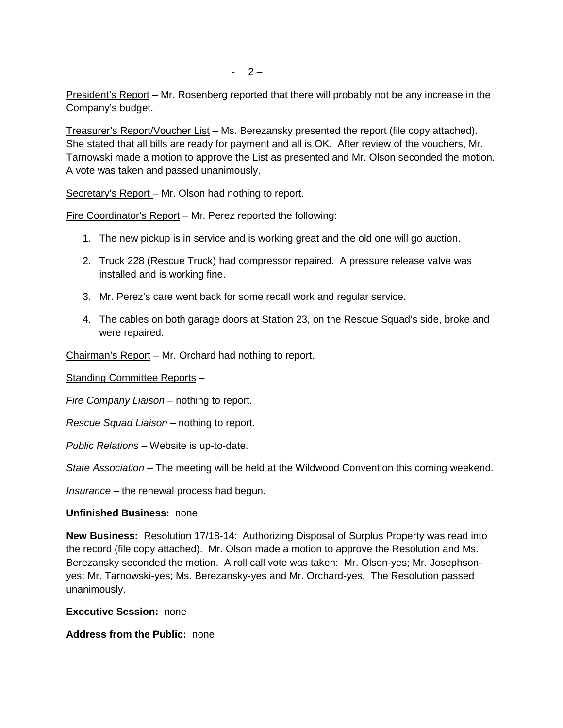President's Report – Mr. Rosenberg reported that there will probably not be any increase in the Company's budget.

Treasurer's Report/Voucher List – Ms. Berezansky presented the report (file copy attached). She stated that all bills are ready for payment and all is OK. After review of the vouchers, Mr. Tarnowski made a motion to approve the List as presented and Mr. Olson seconded the motion. A vote was taken and passed unanimously.

Secretary's Report – Mr. Olson had nothing to report.

Fire Coordinator's Report – Mr. Perez reported the following:

- 1. The new pickup is in service and is working great and the old one will go auction.
- 2. Truck 228 (Rescue Truck) had compressor repaired. A pressure release valve was installed and is working fine.
- 3. Mr. Perez's care went back for some recall work and regular service.
- 4. The cables on both garage doors at Station 23, on the Rescue Squad's side, broke and were repaired.

Chairman's Report – Mr. Orchard had nothing to report.

Standing Committee Reports –

*Fire Company Liaison –* nothing to report.

*Rescue Squad Liaison –* nothing to report.

*Public Relations –* Website is up-to-date.

*State Association –* The meeting will be held at the Wildwood Convention this coming weekend.

*Insurance –* the renewal process had begun.

## **Unfinished Business:** none

**New Business:** Resolution 17/18-14: Authorizing Disposal of Surplus Property was read into the record (file copy attached). Mr. Olson made a motion to approve the Resolution and Ms. Berezansky seconded the motion. A roll call vote was taken: Mr. Olson-yes; Mr. Josephson yes; Mr. Tarnowski-yes; Ms. Berezansky-yes and Mr. Orchard-yes. The Resolution passed unanimously.

**Executive Session:** none

**Address from the Public:** none